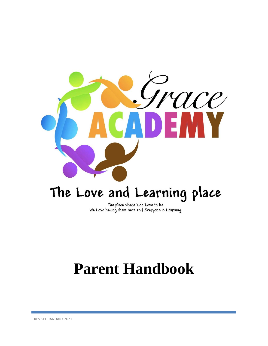

# The Love and Learning place

The place where Kids Love to be We Love having them here and Everyone is Learning

# **Parent Handbook**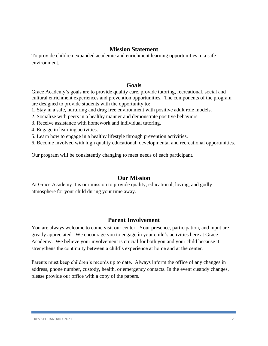#### **Mission Statement**

To provide children expanded academic and enrichment learning opportunities in a safe environment.

#### **Goals**

Grace Academy's goals are to provide quality care, provide tutoring, recreational, social and cultural enrichment experiences and prevention opportunities. The components of the program are designed to provide students with the opportunity to:

1. Stay in a safe, nurturing and drug free environment with positive adult role models.

- 2. Socialize with peers in a healthy manner and demonstrate positive behaviors.
- 3. Receive assistance with homework and individual tutoring.
- 4. Engage in learning activities.
- 5. Learn how to engage in a healthy lifestyle through prevention activities.

6. Become involved with high quality educational, developmental and recreational opportunities.

Our program will be consistently changing to meet needs of each participant.

## **Our Mission**

At Grace Academy it is our mission to provide quality, educational, loving, and godly atmosphere for your child during your time away.

## **Parent Involvement**

You are always welcome to come visit our center. Your presence, participation, and input are greatly appreciated. We encourage you to engage in your child's activities here at Grace Academy. We believe your involvement is crucial for both you and your child because it strengthens the continuity between a child's experience at home and at the center.

Parents must keep children's records up to date. Always inform the office of any changes in address, phone number, custody, health, or emergency contacts. In the event custody changes, please provide our office with a copy of the papers.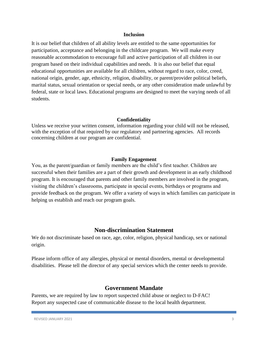#### **Inclusion**

It is our belief that children of all ability levels are entitled to the same opportunities for participation, acceptance and belonging in the childcare program. We will make every reasonable accommodation to encourage full and active participation of all children in our program based on their individual capabilities and needs. It is also our belief that equal educational opportunities are available for all children, without regard to race, color, creed, national origin, gender, age, ethnicity, religion, disability, or parent/provider political beliefs, marital status, sexual orientation or special needs, or any other consideration made unlawful by federal, state or local laws. Educational programs are designed to meet the varying needs of all students.

#### **Confidentiality**

Unless we receive your written consent, information regarding your child will not be released, with the exception of that required by our regulatory and partnering agencies. All records concerning children at our program are confidential.

#### **Family Engagement**

You, as the parent/guardian or family members are the child's first teacher. Children are successful when their families are a part of their growth and development in an early childhood program. It is encouraged that parents and other family members are involved in the program, visiting the children's classrooms, participate in special events, birthdays or programs and provide feedback on the program. We offer a variety of ways in which families can participate in helping us establish and reach our program goals.

#### **Non-discrimination Statement**

We do not discriminate based on race, age, color, religion, physical handicap, sex or national origin.

Please inform office of any allergies, physical or mental disorders, mental or developmental disabilities. Please tell the director of any special services which the center needs to provide.

#### **Government Mandate**

Parents, we are required by law to report suspected child abuse or neglect to D-FAC! Report any suspected case of communicable disease to the local health department.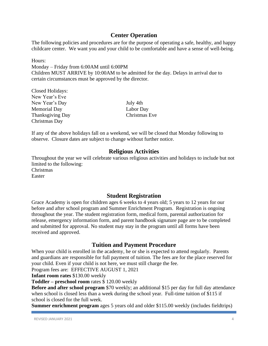## **Center Operation**

The following policies and procedures are for the purpose of operating a safe, healthy, and happy childcare center. We want you and your child to be comfortable and have a sense of well-being.

Hours:

Monday – Friday from 6:00AM until 6:00PM Children MUST ARRIVE by 10:00AM to be admitted for the day. Delays in arrival due to certain circumstances must be approved by the director.

Closed Holidays: New Year's Eve New Year's Day July 4th Memorial Day Labor Day Thanksgiving Day Christmas Eve Christmas Day

If any of the above holidays fall on a weekend, we will be closed that Monday following to observe. Closure dates are subject to change without further notice.

## **Religious Activities**

Throughout the year we will celebrate various religious activities and holidays to include but not limited to the following: Christmas Easter

**Student Registration**

Grace Academy is open for children ages 6 weeks to 4 years old; 5 years to 12 years for our before and after school program and Summer Enrichment Program. Registration is ongoing throughout the year. The student registration form, medical form, parental authorization for release, emergency information form, and parent handbook signature page are to be completed and submitted for approval. No student may stay in the program until all forms have been received and approved.

## **Tuition and Payment Procedure**

When your child is enrolled in the academy, he or she is expected to attend regularly. Parents and guardians are responsible for full payment of tuition. The fees are for the place reserved for your child. Even if your child is not here, we must still charge the fee.

Program fees are: EFFECTIVE AUGUST 1, 2021

**Infant room rates** \$130.00 weekly

**Toddler – preschool room** rates \$ 120.00 weekly

**Before and after school program** \$70 weekly; an additional \$15 per day for full day attendance when school is closed less than a week during the school year. Full-time tuition of \$115 if school is closed for the full week.

**Summer enrichment program** ages 5 years old and older \$115.00 weekly (includes fieldtrips)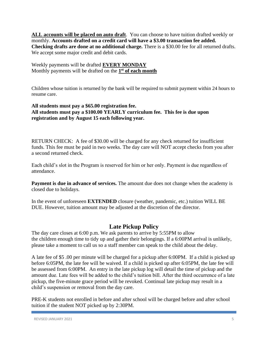ALL accounts will be placed on auto draft. You can choose to have tuition drafted weekly or monthly. **Accounts drafted on a credit card will have a \$3.00 transaction fee added. Checking drafts are done at no additional charge.** There is a \$30.00 fee for all returned drafts. We accept some major credit and debit cards.

Weekly payments will be drafted **EVERY MONDAY** Monthly payments will be drafted on the **1 st of each month**

Children whose tuition is returned by the bank will be required to submit payment within 24 hours to resume care.

#### **All students must pay a \$65.00 registration fee. All students must pay a \$100.00 YEARLY curriculum fee. This fee is due upon registration and by August 15 each following year.**

RETURN CHECK: A fee of \$30.00 will be charged for any check returned for insufficient funds. This fee must be paid in two weeks. The day care will NOT accept checks from you after a second returned check.

Each child's slot in the Program is reserved for him or her only. Payment is due regardless of attendance.

**Payment is due in advance of services.** The amount due does not change when the academy is closed due to holidays.

In the event of unforeseen **EXTENDED** closure (weather, pandemic, etc.) tuition WILL BE DUE. However, tuition amount may be adjusted at the discretion of the director.

## **Late Pickup Policy**

The day care closes at 6:00 p.m. We ask parents to arrive by 5:55PM to allow the children enough time to tidy up and gather their belongings. If a 6:00PM arrival is unlikely, please take a moment to call us so a staff member can speak to the child about the delay.

A late fee of \$5 .00 per minute will be charged for a pickup after 6:00PM. If a child is picked up before 6:05PM, the late fee will be waived. If a child is picked up after 6:05PM, the late fee will be assessed from 6:00PM. An entry in the late pickup log will detail the time of pickup and the amount due. Late fees will be added to the child's tuition bill. After the third occurrence of a late pickup, the five-minute grace period will be revoked. Continual late pickup may result in a child's suspension or removal from the day care.

PRE-K students not enrolled in before and after school will be charged before and after school tuition if the student NOT picked up by 2:30PM.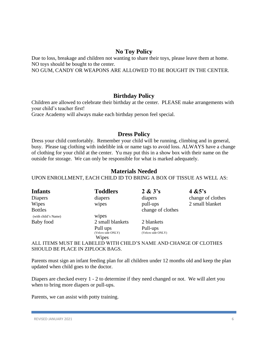## **No Toy Policy**

Due to loss, breakage and children not wanting to share their toys, please leave them at home. NO toys should be bought to the center.

NO GUM, CANDY OR WEAPONS ARE ALLOWED TO BE BOUGHT IN THE CENTER.

## **Birthday Policy**

Children are allowed to celebrate their birthday at the center. PLEASE make arrangements with your child's teacher first!

Grace Academy will always make each birthday person feel special.

## **Dress Policy**

Dress your child comfortably. Remember your child will be running, climbing and in general, busy. Please tag clothing with indelible ink or name tags to avoid loss. ALWAYS have a change of clothing for your child at the center. Yu may put this in a show box with their name on the outside for storage. We can only be responsible for what is marked adequately.

## **Materials Needed**

#### UPON ENROLLMENT, EACH CHILD ID TO BRING A BOX OF TISSUE AS WELL AS:

| <b>Infants</b>      | <b>Toddlers</b>    | $2 \& 3's$         | 4 $&5's$          |
|---------------------|--------------------|--------------------|-------------------|
| <b>Diapers</b>      | diapers            | diapers            | change of clothes |
| Wipes               | wipes              | pull-ups           | 2 small blanket   |
| <b>Bottles</b>      |                    | change of clothes  |                   |
| (with child's Name) | wipes              |                    |                   |
| Baby food           | 2 small blankets   | 2 blankets         |                   |
|                     | Pull ups           | Pull-ups           |                   |
|                     | (Velcro side ONLY) | (Velcro side ONLY) |                   |
|                     | Wipes              |                    |                   |

ALL ITEMS MUST BE LABELED WITH CHILD'S NAME AND CHANGE OF CLOTHES SHOULD BE PLACE IN ZIPLOCK BAGS.

Parents must sign an infant feeding plan for all children under 12 months old and keep the plan updated when child goes to the doctor.

Diapers are checked every 1 - 2 to determine if they need changed or not. We will alert you when to bring more diapers or pull-ups.

Parents, we can assist with potty training.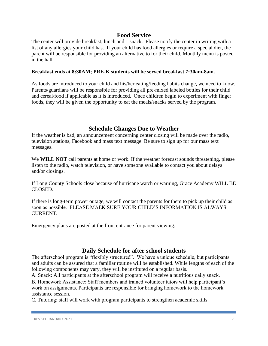#### **Food Service**

The center will provide breakfast, lunch and 1 snack. Please notify the center in writing with a list of any allergies your child has. If your child has food allergies or require a special diet, the parent will be responsible for providing an alternative to for their child. Monthly menu is posted in the hall.

#### **Breakfast ends at 8:30AM; PRE-K students will be served breakfast 7:30am-8am.**

As foods are introduced to your child and his/her eating/feeding habits change, we need to know. Parents/guardians will be responsible for providing all pre-mixed labeled bottles for their child and cereal/food if applicable as it is introduced. Once children begin to experiment with finger foods, they will be given the opportunity to eat the meals/snacks served by the program.

#### **Schedule Changes Due to Weather**

If the weather is bad, an announcement concerning center closing will be made over the radio, television stations, Facebook and mass text message. Be sure to sign up for our mass text messages.

We **WILL NOT** call parents at home or work. If the weather forecast sounds threatening, please listen to the radio, watch television, or have someone available to contact you about delays and/or closings.

If Long County Schools close because of hurricane watch or warning, Grace Academy WILL BE CLOSED.

If there is long-term power outage, we will contact the parents for them to pick up their child as soon as possible. PLEASE MAEK SURE YOUR CHILD'S INFORMATION IS ALWAYS CURRENT.

Emergency plans are posted at the front entrance for parent viewing.

#### **Daily Schedule for after school students**

The afterschool program is "flexibly structured". We have a unique schedule, but participants and adults can be assured that a familiar routine will be established. While lengths of each of the following components may vary, they will be instituted on a regular basis.

A. Snack: All participants at the afterschool program will receive a nutritious daily snack.

B. Homework Assistance: Staff members and trained volunteer tutors will help participant's work on assignments. Participants are responsible for bringing homework to the homework assistance session.

C. Tutoring: staff will work with program participants to strengthen academic skills.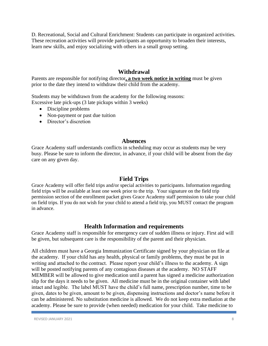D. Recreational, Social and Cultural Enrichment: Students can participate in organized activities. These recreation activities will provide participants an opportunity to broaden their interests, learn new skills, and enjoy socializing with others in a small group setting.

## **Withdrawal**

Parents are responsible for notifying director**, a two week notice in writing** must be given prior to the date they intend to withdraw their child from the academy.

Students may be withdrawn from the academy for the following reasons: Excessive late pick-ups (3 late pickups within 3 weeks)

- Discipline problems
- Non-payment or past due tuition
- Director's discretion

## **Absences**

Grace Academy staff understands conflicts in scheduling may occur as students may be very busy. Please be sure to inform the director, in advance, if your child will be absent from the day care on any given day.

## **Field Trips**

Grace Academy will offer field trips and/or special activities to participants. Information regarding field trips will be available at least one week prior to the trip. Your signature on the field trip permission section of the enrollment packet gives Grace Academy staff permission to take your child on field trips. If you do not wish for your child to attend a field trip, you MUST contact the program in advance.

## **Health Information and requirements**

Grace Academy staff is responsible for emergency care of sudden illness or injury. First aid will be given, but subsequent care is the responsibility of the parent and their physician.

All children must have a Georgia Immunization Certificate signed by your physician on file at the academy. If your child has any health, physical or family problems, they must be put in writing and attached to the contract. Please report your child's illness to the academy. A sign will be posted notifying parents of any contagious diseases at the academy. NO STAFF MEMBER will be allowed to give medication until a parent has signed a medicine authorization slip for the days it needs to be given. All medicine must be in the original container with label intact and legible. The label MUST have the child's full name, prescription number, time to be given, dates to be given, amount to be given, dispensing instructions and doctor's name before it can be administered. No substitution medicine is allowed. We do not keep extra mediation at the academy. Please be sure to provide (when needed) medication for your child. Take medicine to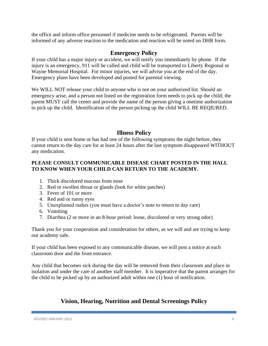the office and inform office personnel if medicine needs to be refrigerated. Parents will be informed of any adverse reaction to the medication and reaction will be noted on DHR form.

## **Emergency Policy**

If your child has a major injury or accident, we will notify you immediately by phone. If the injury is an emergency, 911 will be called and child will be transported to Liberty Regional or Wayne Memorial Hospital. For minor injuries, we will advise you at the end of the day. Emergency plans have been developed and posted for parental viewing.

We WILL NOT release your child to anyone who is not on your authorized list. Should an emergency arise, and a person not listed on the registration form needs to pick up the child; the parent MUST call the center and provide the name of the person giving a onetime authorization to pick up the child. Identification of the person picking up the child WILL BE REQIURED.

## **Illness Policy**

If your child is sent home or has had one of the following symptoms the night before, they cannot return to the day care for at least 24 hours after the last symptom disappeared WITHOUT any medication.

#### **PLEASE CONSULT COMMUNICABLE DISEASE CHART POSTED IN THE HALL TO KNOW WHEN YOUR CHILD CAN RETURN TO THE ACADEMY.**

- 1. Thick discolored mucous from nose
- 2. Red or swollen throat or glands (look for white patches)
- 3. Fever of 101 or more
- 4. Red and or runny eyes
- 5. Unexplained rashes (you must have a doctor's note to return to day care)
- 6. Vomiting
- 7. Diarrhea (2 or more in an 8-hour period: loose, discolored or very strong odor)

Thank you for your cooperation and consideration for others, as we will and are trying to keep our academy safe.

If your child has been exposed to any communicable disease, we will post a notice at each classroom door and the front entrance.

Any child that becomes sick during the day will be removed from their classroom and place in isolation and under the care of another staff member. It is imperative that the parent arranges for the child to be picked up by an authorized adult within one (1) hour of notification.

## **Vision, Hearing, Nutrition and Dental Screenings Policy**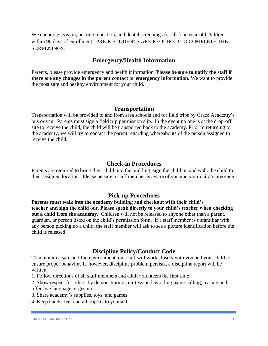We encourage vision, hearing, nutrition, and dental screenings for all four-year-old children within 90 days of enrollment. PRE-K STUDENTS ARE REQUIRED TO COMPLETE THE SCREENINGS.

## **Emergency/Health Information**

Parents, please provide emergency and health information. **Please be sure to notify the staff if there are any changes in the parent contact or emergency information.** We want to provide the most safe and healthy environment for your child.

#### **Transportation**

Transportation will be provided to and from area schools and for field trips by Grace Academy's bus or van. Parents must sign a field trip permission slip. In the event no one is at the drop-off site to receive the child, the child will be transported back to the academy. Prior to returning to the academy, we will try to contact the parent regarding whereabouts of the person assigned to receive the child.

#### **Check-in Procedures**

Parents are required to bring their child into the building, sign the child in, and walk the child to their assigned location. Please be sure a staff member is aware of you and your child's presence.

## **Pick-up Procedures**

**Parents must walk into the academy building and checkout with their child's teacher and sign the child out. Please speak directly to your child's teacher when checking out a child from the academy.** Children will not be released to anyone other than a parent, guardian, or person listed on the child's permission form. If a staff member is unfamiliar with any person picking up a child, the staff member will ask to see a picture identification before the child is released.

## **Discipline Policy/Conduct Code**

To maintain a safe and fun environment, our staff will work closely with you and your child to ensure proper behavior. If, however, discipline problem persists, a discipline report will be written.

1. Follow directions of all staff members and adult volunteers the first time.

2. Show respect for others by demonstrating courtesy and avoiding name-calling, teasing and offensive language or gestures.

- 3. Share academy's supplies, toys, and games
- 4. Keep hands, feet and all objects to yourself.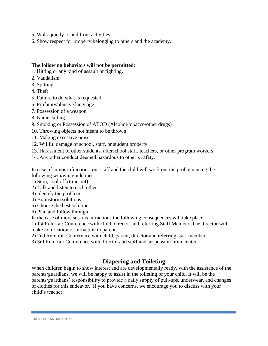- 5. Walk quietly to and from activities.
- 6. Show respect for property belonging to others and the academy.

#### **The following behaviors will not be permitted:**

- 1. Hitting or any kind of assault or fighting.
- 2. Vandalism
- 3. Spitting
- 4. Theft
- 5. Failure to do what is requested
- 6. Profanity/abusive language
- 7. Possession of a weapon
- 8. Name calling
- 9. Smoking or Possession of ATOD (Alcohol/tobacco/other drugs)
- 10. Throwing objects not meant to be thrown
- 11. Making excessive noise
- 12. Willful damage of school, staff, or student property
- 13. Harassment of other students, afterschool staff, teachers, or other program workers.
- 14. Any other conduct deemed hazardous to other's safety.

In case of minor infractions, our staff and the child will work out the problem using the following win/win guidelines:

- 1) Stop, cool off (time out)
- 2) Talk and listen to each other
- 3) Identify the problem
- 4) Brainstorm solutions
- 5) Choose the best solution
- 6) Plan and follow through

In the case of more serious infractions the following consequences will take place:

1) 1st Referral: Conference with child, director and referring Staff Member. The director will make notification of infraction to parents.

- 2) 2nd Referral: Conference with child, parent, director and referring staff member.
- 3) 3rd Referral: Conference with director and staff and suspension from center.

## **Diapering and Toileting**

When children begin to show interest and are developmentally ready, with the assistance of the parents/guardians, we will be happy to assist in the toileting of your child. It will be the parents/guardians' responsibility to provide a daily supply of pull-ups, underwear, and changes of clothes for this endeavor. If you have concerns, we encourage you to discuss with your child's teacher.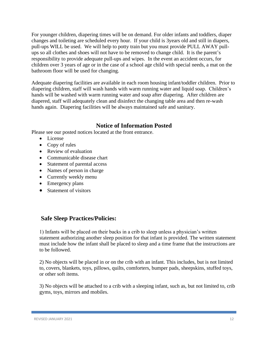For younger children, diapering times will be on demand. For older infants and toddlers, diaper changes and toileting are scheduled every hour. If your child is 3years old and still in diapers, pull-ups WILL be used. We will help to potty train but you must provide PULL AWAY pullups so all clothes and shoes will not have to be removed to change child. It is the parent's responsibility to provide adequate pull-ups and wipes. In the event an accident occurs, for children over 3 years of age or in the case of a school age child with special needs, a mat on the bathroom floor will be used for changing.

Adequate diapering facilities are available in each room housing infant/toddler children. Prior to diapering children, staff will wash hands with warm running water and liquid soap. Children's hands will be washed with warm running water and soap after diapering. After children are diapered, staff will adequately clean and disinfect the changing table area and then re-wash hands again. Diapering facilities will be always maintained safe and sanitary.

#### **Notice of Information Posted**

Please see our posted notices located at the front entrance.

- License
- Copy of rules
- Review of evaluation
- Communicable disease chart
- Statement of parental access
- Names of person in charge
- Currently weekly menu
- Emergency plans
- Statement of visitors

#### **Safe Sleep Practices/Policies:**

1) Infants will be placed on their backs in a crib to sleep unless a physician's written statement authorizing another sleep position for that infant is provided. The written statement must include how the infant shall be placed to sleep and a time frame that the instructions are to be followed.

2) No objects will be placed in or on the crib with an infant. This includes, but is not limited to, covers, blankets, toys, pillows, quilts, comforters, bumper pads, sheepskins, stuffed toys, or other soft items.

3) No objects will be attached to a crib with a sleeping infant, such as, but not limited to, crib gyms, toys, mirrors and mobiles.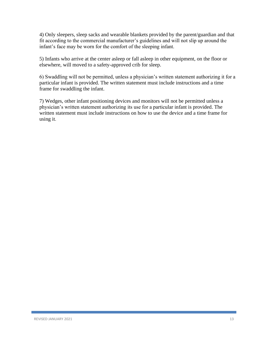4) Only sleepers, sleep sacks and wearable blankets provided by the parent/guardian and that fit according to the commercial manufacturer's guidelines and will not slip up around the infant's face may be worn for the comfort of the sleeping infant.

5) Infants who arrive at the center asleep or fall asleep in other equipment, on the floor or elsewhere, will moved to a safety-approved crib for sleep.

6) Swaddling will not be permitted, unless a physician's written statement authorizing it for a particular infant is provided. The written statement must include instructions and a time frame for swaddling the infant.

7) Wedges, other infant positioning devices and monitors will not be permitted unless a physician's written statement authorizing its use for a particular infant is provided. The written statement must include instructions on how to use the device and a time frame for using it.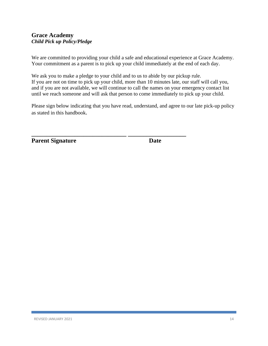## **Grace Academy** *Child Pick up Policy/Pledge*

We are committed to providing your child a safe and educational experience at Grace Academy. Your commitment as a parent is to pick up your child immediately at the end of each day.

We ask you to make a pledge to your child and to us to abide by our pickup rule. If you are not on time to pick up your child, more than 10 minutes late, our staff will call you, and if you are not available, we will continue to call the names on your emergency contact list until we reach someone and will ask that person to come immediately to pick up your child.

Please sign below indicating that you have read, understand, and agree to our late pick-up policy as stated in this handbook.

**\_\_\_\_\_\_\_\_\_\_\_\_\_\_\_\_\_\_\_\_\_\_\_\_\_\_\_\_\_\_\_ \_\_\_\_\_\_\_\_\_\_\_\_\_\_\_\_\_\_\_** 

**Parent Signature Date Date**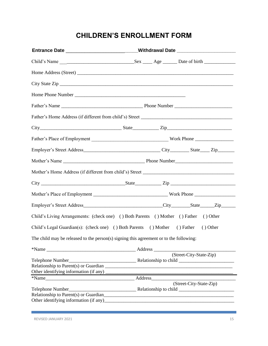# **CHILDREN'S ENROLLMENT FORM**

|                                                                                        | Entrance Date ____________________________Withdrawal Date ______________________ |  |                         |
|----------------------------------------------------------------------------------------|----------------------------------------------------------------------------------|--|-------------------------|
|                                                                                        |                                                                                  |  |                         |
|                                                                                        |                                                                                  |  |                         |
| City State Zip                                                                         |                                                                                  |  |                         |
|                                                                                        |                                                                                  |  |                         |
|                                                                                        |                                                                                  |  |                         |
|                                                                                        |                                                                                  |  |                         |
|                                                                                        |                                                                                  |  |                         |
|                                                                                        |                                                                                  |  |                         |
|                                                                                        |                                                                                  |  |                         |
|                                                                                        |                                                                                  |  |                         |
|                                                                                        |                                                                                  |  |                         |
|                                                                                        |                                                                                  |  |                         |
|                                                                                        |                                                                                  |  |                         |
|                                                                                        |                                                                                  |  |                         |
| Child's Living Arrangements: (check one) () Both Parents () Mother () Father () Other  |                                                                                  |  |                         |
| Child's Legal Guardian(s): (check one) () Both Parents () Mother () Father             |                                                                                  |  | () Other                |
| The child may be released to the person(s) signing this agreement or to the following: |                                                                                  |  |                         |
|                                                                                        |                                                                                  |  |                         |
| Other identifying information (if any)                                                 |                                                                                  |  | (Street-City-State-Zip) |
|                                                                                        |                                                                                  |  |                         |
|                                                                                        |                                                                                  |  | (Street-City-State-Zip) |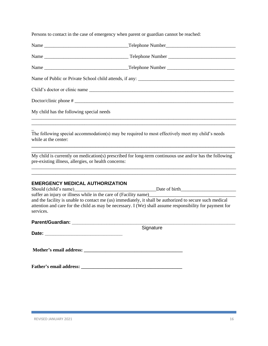Persons to contact in the case of emergency when parent or guardian cannot be reached:

| My child has the following special needs                                                                                                 |                                                                                                                                                                                                                                                             |
|------------------------------------------------------------------------------------------------------------------------------------------|-------------------------------------------------------------------------------------------------------------------------------------------------------------------------------------------------------------------------------------------------------------|
| while at the center:                                                                                                                     | The following special accommodation(s) may be required to most effectively meet my child's needs                                                                                                                                                            |
| pre-existing illness, allergies, or health concerns:                                                                                     | My child is currently on medication(s) prescribed for long-term continuous use and/or has the following                                                                                                                                                     |
| <b>EMERGENCY MEDICAL AUTHORIZATION</b><br>suffer an injury or illness while in the care of (Facility name)_________________<br>services. | Should (child's name) Date of birth<br>and the facility is unable to contact me (us) immediately, it shall be authorized to secure such medical<br>attention and care for the child as may be necessary. I (We) shall assume responsibility for payment for |
|                                                                                                                                          |                                                                                                                                                                                                                                                             |
| Date:                                                                                                                                    | Signature                                                                                                                                                                                                                                                   |
|                                                                                                                                          |                                                                                                                                                                                                                                                             |
|                                                                                                                                          |                                                                                                                                                                                                                                                             |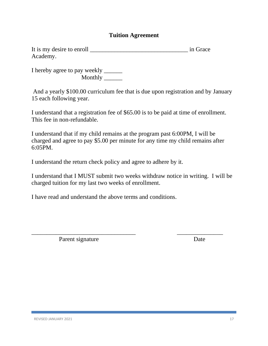## **Tuition Agreement**

| It is my desire to enroll | in Grace |
|---------------------------|----------|
| Academy.                  |          |

I hereby agree to pay weekly \_\_\_\_\_\_ Monthly \_\_\_\_\_\_

And a yearly \$100.00 curriculum fee that is due upon registration and by January 15 each following year.

I understand that a registration fee of \$65.00 is to be paid at time of enrollment. This fee in non-refundable.

I understand that if my child remains at the program past 6:00PM, I will be charged and agree to pay \$5.00 per minute for any time my child remains after 6:05PM.

I understand the return check policy and agree to adhere by it.

I understand that I MUST submit two weeks withdraw notice in writing. I will be charged tuition for my last two weeks of enrollment.

\_\_\_\_\_\_\_\_\_\_\_\_\_\_\_\_\_\_\_\_\_\_\_\_\_\_\_\_\_\_\_\_\_\_ \_\_\_\_\_\_\_\_\_\_\_\_\_\_\_

I have read and understand the above terms and conditions.

Parent signature Date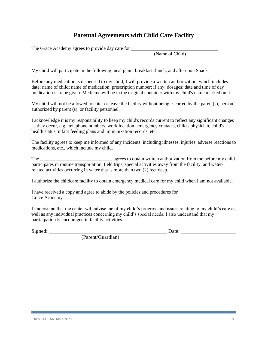## **Parental Agreements with Child Care Facility**

The Grace Academy agrees to provide day care for \_\_\_\_\_\_\_\_\_\_\_\_\_\_\_\_\_\_\_\_\_\_\_\_\_\_\_\_\_\_\_\_

(Name of Child)

My child will participate in the following meal plan: breakfast, lunch, and afternoon Snack

Before any medication is dispensed to my child, I will provide a written authorization, which includes date; name of child; name of medication; prescription number; if any; dosages; date and time of day medication is to be given. Medicine will be in the original container with my child's name marked on it.

My child will not be allowed to enter or leave the facility without being escorted by the parent(s), person authorized by parent (s), or facility personnel.

I acknowledge it is my responsibility to keep my child's records current to reflect any significant changes as they occur, e.g., telephone numbers, work location, emergency contacts, child's physician, child's health status, infant feeding plans and immunization records, etc.

The facility agrees to keep me informed of any incidents, including illnesses, injuries, adverse reactions to medications, etc., which include my child.

The \_\_\_\_\_\_\_\_\_\_\_\_\_\_\_\_\_\_\_\_\_\_\_\_\_\_\_\_\_\_ agrees to obtain written authorization from me before my child participates in routine transportation, field trips, special activities away from the facility, and waterrelated activities occurring in water that is more than two (2) feet deep.

I authorize the childcare facility to obtain emergency medical care for my child when I am not available.

I have received a copy and agree to abide by the policies and procedures for Grace Academy.

I understand that the center will advise me of my child's progress and issues relating to my child's care as well as any individual practices concerning my child's special needs. I also understand that my participation is encouraged in facility activities.

Signed: \_\_\_\_\_\_\_\_\_\_\_\_\_\_\_\_\_\_\_\_\_\_\_\_\_\_\_\_\_\_\_\_\_\_\_\_\_\_\_\_\_\_\_\_\_ Date: \_\_\_\_\_\_\_\_\_\_\_\_\_\_\_\_\_\_\_\_\_

(Parent/Guardian)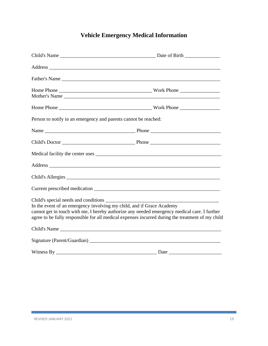# **Vehicle Emergency Medical Information**

|                                                                       | Father's Name                                                                                                                                                                                                                  |
|-----------------------------------------------------------------------|--------------------------------------------------------------------------------------------------------------------------------------------------------------------------------------------------------------------------------|
|                                                                       |                                                                                                                                                                                                                                |
|                                                                       |                                                                                                                                                                                                                                |
| Person to notify in an emergency and parents cannot be reached:       |                                                                                                                                                                                                                                |
|                                                                       |                                                                                                                                                                                                                                |
|                                                                       |                                                                                                                                                                                                                                |
|                                                                       |                                                                                                                                                                                                                                |
|                                                                       | Address and the contract of the contract of the contract of the contract of the contract of the contract of the contract of the contract of the contract of the contract of the contract of the contract of the contract of th |
|                                                                       |                                                                                                                                                                                                                                |
|                                                                       |                                                                                                                                                                                                                                |
| In the event of an emergency involving my child, and if Grace Academy | cannot get in touch with me, I hereby authorize any needed emergency medical care. I further<br>agree to be fully responsible for all medical expenses incurred during the treatment of my child                               |
|                                                                       |                                                                                                                                                                                                                                |
|                                                                       |                                                                                                                                                                                                                                |
|                                                                       |                                                                                                                                                                                                                                |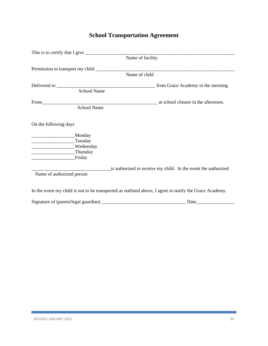## **School Transportation Agreement**

|                                                                                | Name of facility                                                                                       |
|--------------------------------------------------------------------------------|--------------------------------------------------------------------------------------------------------|
|                                                                                |                                                                                                        |
|                                                                                |                                                                                                        |
|                                                                                | Name of child                                                                                          |
|                                                                                |                                                                                                        |
| School Name                                                                    |                                                                                                        |
|                                                                                |                                                                                                        |
| School Name                                                                    |                                                                                                        |
| On the following days<br>_Monday<br>Tuesday<br>Wednesday<br>Thursday<br>Friday |                                                                                                        |
| Name of authorized person                                                      | is authorized to receive my child. In the event the authorized                                         |
|                                                                                | In the event my child is not to be transported as outlined above, I agree to notify the Grace Academy. |
|                                                                                | Date                                                                                                   |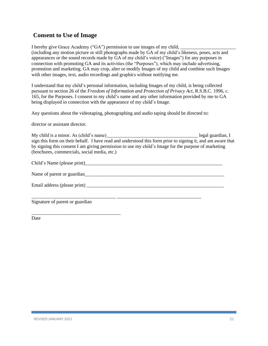## **Consent to Use of Image**

I hereby give Grace Academy ("GA") permission to use images of my child, (including any motion picture or still photographs made by GA of my child's likeness, poses, acts and appearances or the sound records made by GA of my child's voice) ("Images") for any purposes in connection with promoting GA and its activities (the "Purposes"), which may include advertising, promotion and marketing. GA may crop, alter or modify Images of my child and combine such Images with other images, text, audio recordings and graphics without notifying me.

I understand that my child's personal information, including Images of my child, is being collected pursuant to section 26 of the *Freedom of Information and Protection of Privacy Act*, R.S.B.C. 1996, c. 165, for the Purposes. I consent to my child's name and any other information provided by me to GA being displayed in connection with the appearance of my child's Image.

Any questions about the videotaping, photographing and audio taping should be directed to:

director or assistant director.

\_\_\_\_\_\_\_\_\_\_\_\_\_\_\_\_\_\_\_\_\_\_\_\_\_\_\_\_\_\_\_\_\_\_\_\_\_

My child is a minor. As (child's name) example a set of the legal guardian, I sign this form on their behalf. I have read and understood this form prior to signing it, and am aware that by signing this consent I am giving permission to use my child's Image for the purpose of marketing (brochures, commercials, social media, etc.)

| Signature of parent or guardian |  |  |
|---------------------------------|--|--|

Date